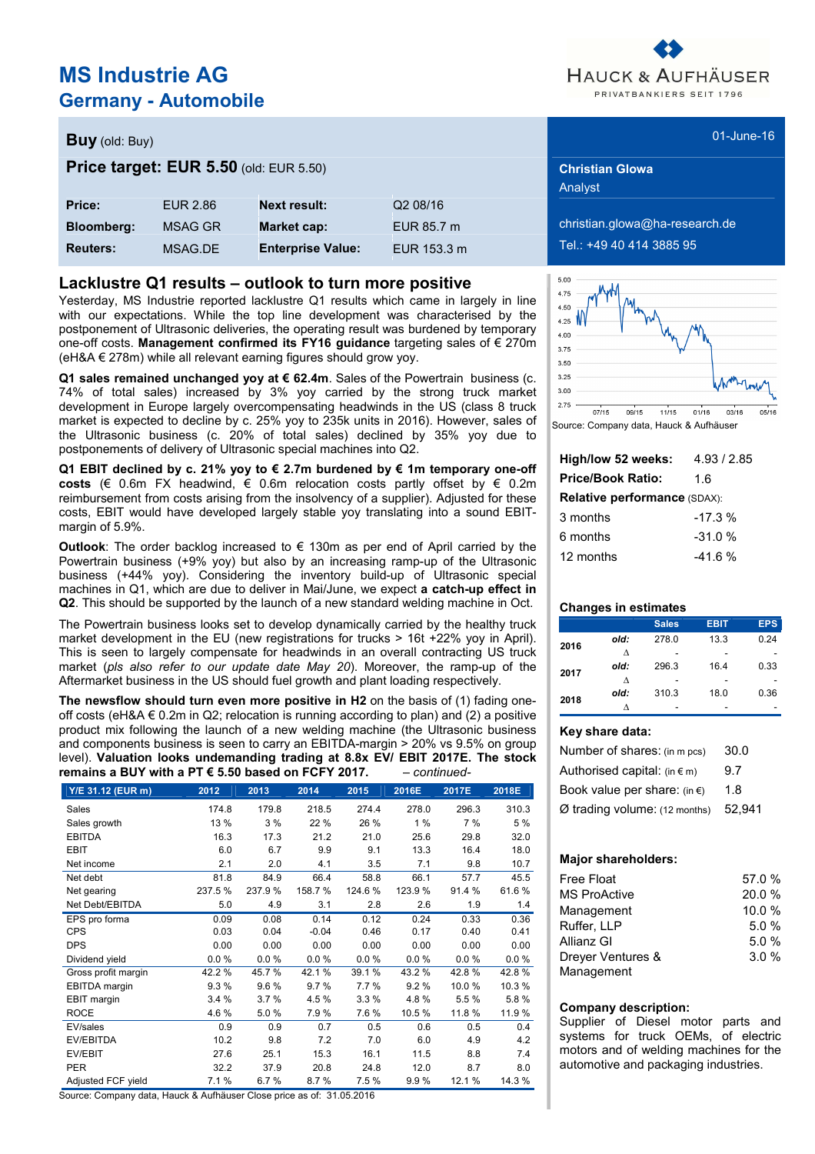# **MS Industrie AG Germany - Automobile**

# HAUCK & AUFHÄUSER PRIVATBANKIERS SEIT 1796

### **Buy** (old: Buy) 01-June-16

### **Price target: EUR 5.50** (old: EUR 5.50) **Christian Glowa Christian Glowa**

| Price:            | EUR 2.86       | <b>Next result:</b>      | Q2 08/16    |
|-------------------|----------------|--------------------------|-------------|
| <b>Bloomberg:</b> | <b>MSAG GR</b> | <b>Market cap:</b>       | EUR 85.7 m  |
| <b>Reuters:</b>   | MSAG.DE        | <b>Enterprise Value:</b> | EUR 153.3 m |

### **Lacklustre Q1 results – outlook to turn more positive**

Yesterday, MS Industrie reported lacklustre Q1 results which came in largely in line with our expectations. While the top line development was characterised by the postponement of Ultrasonic deliveries, the operating result was burdened by temporary one-off costs. **Management confirmed its FY16 guidance** targeting sales of € 270m  $(eh&A \in 278m)$  while all relevant earning figures should grow yoy.

**Q1 sales remained unchanged yoy at € 62.4m**. Sales of the Powertrain business (c. 74% of total sales) increased by 3% yoy carried by the strong truck market development in Europe largely overcompensating headwinds in the US (class 8 truck market is expected to decline by c. 25% yoy to 235k units in 2016). However, sales of the Ultrasonic business (c. 20% of total sales) declined by 35% yoy due to postponements of delivery of Ultrasonic special machines into Q2.

**Q1 EBIT declined by c. 21% yoy to € 2.7m burdened by € 1m temporary one-off costs** (€ 0.6m FX headwind, € 0.6m relocation costs partly offset by  $∈$  0.2m reimbursement from costs arising from the insolvency of a supplier). Adjusted for these costs, EBIT would have developed largely stable yoy translating into a sound EBITmargin of 5.9%.

**Outlook**: The order backlog increased to € 130m as per end of April carried by the Powertrain business (+9% yoy) but also by an increasing ramp-up of the Ultrasonic business (+44% yoy). Considering the inventory build-up of Ultrasonic special machines in Q1, which are due to deliver in Mai/June, we expect **a catch-up effect in Q2**. This should be supported by the launch of a new standard welding machine in Oct.

The Powertrain business looks set to develop dynamically carried by the healthy truck market development in the EU (new registrations for trucks > 16t +22% yoy in April). This is seen to largely compensate for headwinds in an overall contracting US truck market (pls also refer to our update date May 20). Moreover, the ramp-up of the Aftermarket business in the US should fuel growth and plant loading respectively.

**The newsflow should turn even more positive in H2** on the basis of (1) fading oneoff costs (eH&A  $\in$  0.2m in Q2; relocation is running according to plan) and (2) a positive product mix following the launch of a new welding machine (the Ultrasonic business and components business is seen to carry an EBITDA-margin > 20% vs 9.5% on group level). **Valuation looks undemanding trading at 8.8x EV/ EBIT 2017E. The stock remains a BUY with a PT € 5.50 based on FCFY 2017.** - continued-

| Y/E 31.12 (EUR m)   | 2012   | 2013   | 2014    | 2015   | 2016E  | 2017E  | 2018E  |
|---------------------|--------|--------|---------|--------|--------|--------|--------|
| Sales               | 174.8  | 179.8  | 218.5   | 274.4  | 278.0  | 296.3  | 310.3  |
| Sales growth        | 13 %   | 3%     | 22 %    | 26 %   | 1%     | 7 %    | 5 %    |
| <b>EBITDA</b>       | 16.3   | 17.3   | 21.2    | 21.0   | 25.6   | 29.8   | 32.0   |
| <b>EBIT</b>         | 6.0    | 6.7    | 9.9     | 9.1    | 13.3   | 16.4   | 18.0   |
| Net income          | 2.1    | 2.0    | 4.1     | 3.5    | 7.1    | 9.8    | 10.7   |
| Net debt            | 81.8   | 84.9   | 66.4    | 58.8   | 66.1   | 57.7   | 45.5   |
| Net gearing         | 237.5% | 237.9% | 158.7%  | 124.6% | 123.9% | 91.4 % | 61.6%  |
| Net Debt/EBITDA     | 5.0    | 4.9    | 3.1     | 2.8    | 2.6    | 1.9    | 1.4    |
| EPS pro forma       | 0.09   | 0.08   | 0.14    | 0.12   | 0.24   | 0.33   | 0.36   |
| <b>CPS</b>          | 0.03   | 0.04   | $-0.04$ | 0.46   | 0.17   | 0.40   | 0.41   |
| <b>DPS</b>          | 0.00   | 0.00   | 0.00    | 0.00   | 0.00   | 0.00   | 0.00   |
| Dividend yield      | 0.0%   | 0.0%   | 0.0%    | 0.0%   | 0.0%   | 0.0%   | 0.0%   |
| Gross profit margin | 42.2%  | 45.7%  | 42.1%   | 39.1%  | 43.2%  | 42.8%  | 42.8%  |
| EBITDA margin       | 9.3%   | 9.6%   | 9.7%    | 7.7%   | 9.2%   | 10.0%  | 10.3%  |
| EBIT margin         | 3.4%   | 3.7%   | 4.5%    | 3.3%   | 4.8%   | 5.5%   | 5.8%   |
| <b>ROCE</b>         | 4.6%   | 5.0%   | 7.9%    | 7.6%   | 10.5%  | 11.8%  | 11.9%  |
| EV/sales            | 0.9    | 0.9    | 0.7     | 0.5    | 0.6    | 0.5    | 0.4    |
| <b>EV/EBITDA</b>    | 10.2   | 9.8    | 7.2     | 7.0    | 6.0    | 4.9    | 4.2    |
| EV/EBIT             | 27.6   | 25.1   | 15.3    | 16.1   | 11.5   | 8.8    | 7.4    |
| <b>PER</b>          | 32.2   | 37.9   | 20.8    | 24.8   | 12.0   | 8.7    | 8.0    |
| Adjusted FCF yield  | 7.1 %  | 6.7%   | 8.7%    | 7.5%   | 9.9%   | 12.1%  | 14.3 % |

Source: Company data, Hauck & Aufhäuser Close price as of: 31.05.2016

Analyst

**bloomberg:** *Blooma@ha-research.de* **Reuters:** MSAG.DE **Enterprise Value:** EUR 153.3 m Tel.: +49 40 414 3885 95



Source: Company data, Hauck & Aufhäuser

| High/low 52 weeks:           | 4.93/2.85 |  |  |  |  |  |
|------------------------------|-----------|--|--|--|--|--|
| <b>Price/Book Ratio:</b>     | 1 6       |  |  |  |  |  |
| Relative performance (SDAX): |           |  |  |  |  |  |
| 3 months                     | $-17.3%$  |  |  |  |  |  |
| 6 months                     | $-31.0%$  |  |  |  |  |  |
| 12 months                    | $-41.6%$  |  |  |  |  |  |

#### **Changes in estimates**

|      |      | <b>Sales</b> | <b>EBIT</b> | <b>EPS</b> |
|------|------|--------------|-------------|------------|
| 2016 | old: | 278.0        | 13.3        | 0.24       |
|      | ٨    |              |             |            |
| 2017 | old: | 296.3        | 16.4        | 0.33       |
|      | л    |              |             |            |
|      | old: | 310.3        | 18.0        | 0.36       |
| 2018 |      |              |             |            |

#### **Key share data:**

| Number of shares: (in m pcs)           | 30.0   |
|----------------------------------------|--------|
| Authorised capital: $(in \in m)$       | 9.7    |
| Book value per share: (in $\epsilon$ ) | 1.8    |
| $Ø$ trading volume: $(12$ months)      | 52.941 |

#### **Major shareholders:**

| Free Float          | 57.0 % |
|---------------------|--------|
| <b>MS ProActive</b> | 20.0%  |
| Management          | 10.0%  |
| Ruffer, LLP         | 5.0%   |
| Allianz GI          | 5.0%   |
| Drever Ventures &   | 3.0%   |
| Management          |        |

#### **Company description:**

Supplier of Diesel motor parts and systems for truck OEMs, of electric motors and of welding machines for the automotive and packaging industries.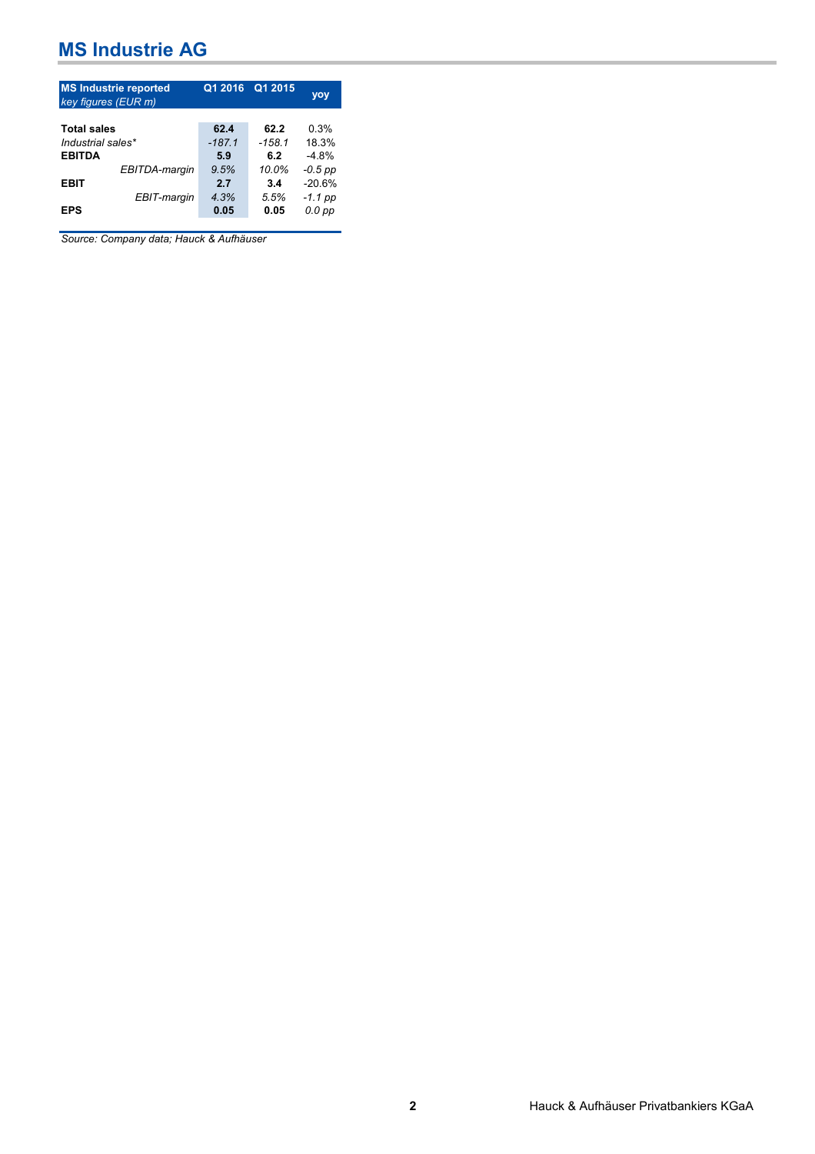| <b>MS Industrie reported</b><br>key figures (EUR m) |                 | Q1 2016 Q1 2015 | yoy                   |
|-----------------------------------------------------|-----------------|-----------------|-----------------------|
| <b>Total sales</b>                                  | 62.4            | 62.2            | 0.3%                  |
| Industrial sales*<br><b>EBITDA</b>                  | $-187.1$<br>5.9 | $-158.1$<br>6.2 | 18.3%<br>$-4.8%$      |
| EBITDA-margin                                       | 9.5%            | 10.0%           | -0.5 pp               |
| <b>EBIT</b><br>EBIT-margin                          | 2.7<br>4.3%     | 3.4<br>5.5%     | $-20.6%$<br>$-1.1$ pp |
| <b>EPS</b>                                          | 0.05            | 0.05            | $0.0$ $pp$            |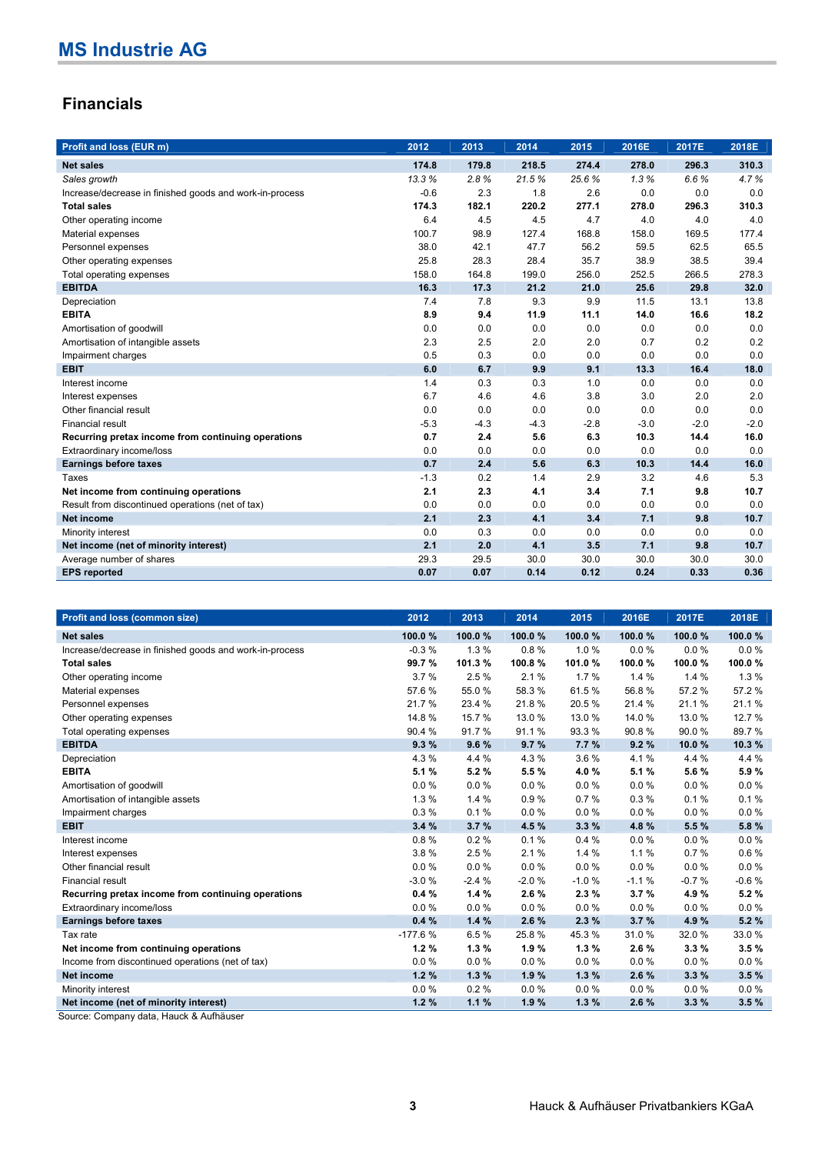## **Financials**

| Profit and loss (EUR m)                                 | 2012   | 2013   | 2014   | 2015   | 2016E  | 2017E  | 2018E  |
|---------------------------------------------------------|--------|--------|--------|--------|--------|--------|--------|
| <b>Net sales</b>                                        | 174.8  | 179.8  | 218.5  | 274.4  | 278.0  | 296.3  | 310.3  |
| Sales growth                                            | 13.3%  | 2.8%   | 21.5%  | 25.6%  | 1.3%   | 6.6%   | 4.7%   |
| Increase/decrease in finished goods and work-in-process | $-0.6$ | 2.3    | 1.8    | 2.6    | 0.0    | 0.0    | 0.0    |
| <b>Total sales</b>                                      | 174.3  | 182.1  | 220.2  | 277.1  | 278.0  | 296.3  | 310.3  |
| Other operating income                                  | 6.4    | 4.5    | 4.5    | 4.7    | 4.0    | 4.0    | 4.0    |
| Material expenses                                       | 100.7  | 98.9   | 127.4  | 168.8  | 158.0  | 169.5  | 177.4  |
| Personnel expenses                                      | 38.0   | 42.1   | 47.7   | 56.2   | 59.5   | 62.5   | 65.5   |
| Other operating expenses                                | 25.8   | 28.3   | 28.4   | 35.7   | 38.9   | 38.5   | 39.4   |
| Total operating expenses                                | 158.0  | 164.8  | 199.0  | 256.0  | 252.5  | 266.5  | 278.3  |
| <b>EBITDA</b>                                           | 16.3   | 17.3   | 21.2   | 21.0   | 25.6   | 29.8   | 32.0   |
| Depreciation                                            | 7.4    | 7.8    | 9.3    | 9.9    | 11.5   | 13.1   | 13.8   |
| <b>EBITA</b>                                            | 8.9    | 9.4    | 11.9   | 11.1   | 14.0   | 16.6   | 18.2   |
| Amortisation of goodwill                                | 0.0    | 0.0    | 0.0    | 0.0    | 0.0    | 0.0    | 0.0    |
| Amortisation of intangible assets                       | 2.3    | 2.5    | 2.0    | 2.0    | 0.7    | 0.2    | 0.2    |
| Impairment charges                                      | 0.5    | 0.3    | 0.0    | 0.0    | 0.0    | 0.0    | 0.0    |
| <b>EBIT</b>                                             | 6.0    | 6.7    | 9.9    | 9.1    | 13.3   | 16.4   | 18.0   |
| Interest income                                         | 1.4    | 0.3    | 0.3    | 1.0    | 0.0    | 0.0    | 0.0    |
| Interest expenses                                       | 6.7    | 4.6    | 4.6    | 3.8    | 3.0    | 2.0    | 2.0    |
| Other financial result                                  | 0.0    | 0.0    | 0.0    | 0.0    | 0.0    | 0.0    | 0.0    |
| Financial result                                        | $-5.3$ | $-4.3$ | $-4.3$ | $-2.8$ | $-3.0$ | $-2.0$ | $-2.0$ |
| Recurring pretax income from continuing operations      | 0.7    | 2.4    | 5.6    | 6.3    | 10.3   | 14.4   | 16.0   |
| Extraordinary income/loss                               | 0.0    | 0.0    | 0.0    | 0.0    | 0.0    | 0.0    | 0.0    |
| <b>Earnings before taxes</b>                            | 0.7    | 2.4    | 5.6    | 6.3    | 10.3   | 14.4   | 16.0   |
| Taxes                                                   | $-1.3$ | 0.2    | 1.4    | 2.9    | 3.2    | 4.6    | 5.3    |
| Net income from continuing operations                   | 2.1    | 2.3    | 4.1    | 3.4    | 7.1    | 9.8    | 10.7   |
| Result from discontinued operations (net of tax)        | 0.0    | 0.0    | 0.0    | 0.0    | 0.0    | 0.0    | 0.0    |
| Net income                                              | 2.1    | 2.3    | 4.1    | 3.4    | 7.1    | 9.8    | 10.7   |
| Minority interest                                       | 0.0    | 0.3    | 0.0    | 0.0    | 0.0    | 0.0    | 0.0    |
| Net income (net of minority interest)                   | 2.1    | 2.0    | 4.1    | 3.5    | 7.1    | 9.8    | 10.7   |
| Average number of shares                                | 29.3   | 29.5   | 30.0   | 30.0   | 30.0   | 30.0   | 30.0   |
| <b>EPS</b> reported                                     | 0.07   | 0.07   | 0.14   | 0.12   | 0.24   | 0.33   | 0.36   |

| Profit and loss (common size)                           | 2012      | 2013    | 2014     | 2015    | 2016E   | 2017E   | 2018E   |
|---------------------------------------------------------|-----------|---------|----------|---------|---------|---------|---------|
| <b>Net sales</b>                                        | 100.0%    | 100.0%  | 100.0%   | 100.0%  | 100.0%  | 100.0%  | 100.0%  |
| Increase/decrease in finished goods and work-in-process | $-0.3%$   | 1.3%    | 0.8%     | 1.0%    | 0.0%    | 0.0%    | 0.0%    |
| <b>Total sales</b>                                      | 99.7%     | 101.3%  | 100.8%   | 101.0%  | 100.0%  | 100.0%  | 100.0%  |
| Other operating income                                  | 3.7%      | 2.5%    | 2.1%     | 1.7%    | 1.4%    | 1.4%    | 1.3%    |
| Material expenses                                       | 57.6%     | 55.0%   | 58.3%    | 61.5%   | 56.8%   | 57.2%   | 57.2%   |
| Personnel expenses                                      | 21.7%     | 23.4 %  | 21.8%    | 20.5%   | 21.4 %  | 21.1%   | 21.1%   |
| Other operating expenses                                | 14.8%     | 15.7 %  | 13.0 %   | 13.0 %  | 14.0%   | 13.0 %  | 12.7 %  |
| Total operating expenses                                | 90.4%     | 91.7%   | 91.1%    | 93.3%   | 90.8%   | 90.0%   | 89.7%   |
| <b>EBITDA</b>                                           | 9.3%      | 9.6%    | 9.7%     | 7.7%    | 9.2%    | 10.0%   | 10.3%   |
| Depreciation                                            | 4.3%      | 4.4 %   | 4.3 %    | 3.6%    | 4.1%    | 4.4 %   | 4.4 %   |
| <b>EBITA</b>                                            | 5.1%      | 5.2%    | 5.5 %    | 4.0%    | 5.1 %   | 5.6%    | 5.9%    |
| Amortisation of goodwill                                | 0.0%      | 0.0%    | 0.0%     | 0.0%    | 0.0%    | 0.0%    | 0.0%    |
| Amortisation of intangible assets                       | 1.3%      | 1.4%    | 0.9%     | 0.7%    | 0.3%    | 0.1%    | 0.1%    |
| Impairment charges                                      | 0.3%      | 0.1%    | 0.0%     | 0.0%    | 0.0%    | 0.0%    | 0.0%    |
| <b>EBIT</b>                                             | 3.4%      | 3.7%    | 4.5%     | 3.3%    | 4.8%    | 5.5 %   | 5.8%    |
| Interest income                                         | 0.8%      | 0.2%    | 0.1%     | 0.4%    | 0.0%    | 0.0%    | 0.0%    |
| Interest expenses                                       | 3.8%      | 2.5%    | 2.1%     | 1.4%    | 1.1%    | 0.7%    | 0.6%    |
| Other financial result                                  | 0.0%      | 0.0%    | 0.0%     | 0.0%    | 0.0%    | 0.0%    | 0.0%    |
| <b>Financial result</b>                                 | $-3.0%$   | $-2.4%$ | $-2.0%$  | $-1.0%$ | $-1.1%$ | $-0.7%$ | $-0.6%$ |
| Recurring pretax income from continuing operations      | 0.4%      | 1.4%    | 2.6%     | 2.3%    | 3.7%    | 4.9%    | 5.2%    |
| Extraordinary income/loss                               | 0.0%      | 0.0%    | $0.0 \%$ | 0.0%    | 0.0%    | 0.0%    | 0.0%    |
| <b>Earnings before taxes</b>                            | 0.4%      | 1.4%    | 2.6%     | 2.3%    | 3.7%    | 4.9%    | 5.2%    |
| Tax rate                                                | $-177.6%$ | 6.5%    | 25.8%    | 45.3%   | 31.0%   | 32.0%   | 33.0%   |
| Net income from continuing operations                   | 1.2%      | 1.3%    | 1.9%     | 1.3%    | 2.6%    | 3.3%    | 3.5%    |
| Income from discontinued operations (net of tax)        | 0.0%      | 0.0%    | $0.0 \%$ | 0.0%    | 0.0%    | 0.0%    | 0.0%    |
| <b>Net income</b>                                       | 1.2%      | 1.3%    | 1.9%     | 1.3%    | 2.6%    | 3.3%    | 3.5%    |
| Minority interest                                       | 0.0%      | 0.2%    | $0.0 \%$ | 0.0%    | 0.0%    | 0.0%    | 0.0%    |
| Net income (net of minority interest)                   | 1.2%      | 1.1%    | 1.9%     | 1.3%    | 2.6%    | 3.3%    | 3.5%    |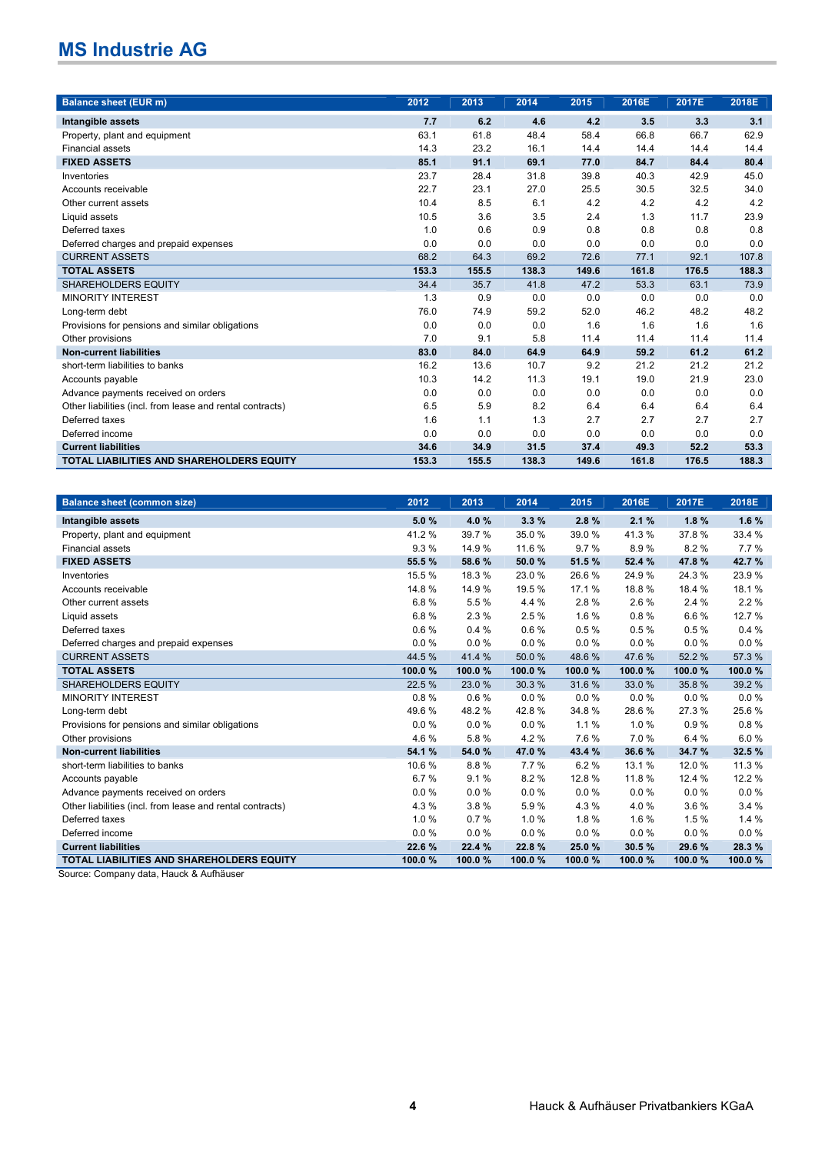| <b>Balance sheet (EUR m)</b>                              | 2012  | 2013  | 2014  | 2015  | 2016E | 2017E | 2018E |
|-----------------------------------------------------------|-------|-------|-------|-------|-------|-------|-------|
| Intangible assets                                         | 7.7   | 6.2   | 4.6   | 4.2   | 3.5   | 3.3   | 3.1   |
| Property, plant and equipment                             | 63.1  | 61.8  | 48.4  | 58.4  | 66.8  | 66.7  | 62.9  |
| <b>Financial assets</b>                                   | 14.3  | 23.2  | 16.1  | 14.4  | 14.4  | 14.4  | 14.4  |
| <b>FIXED ASSETS</b>                                       | 85.1  | 91.1  | 69.1  | 77.0  | 84.7  | 84.4  | 80.4  |
| Inventories                                               | 23.7  | 28.4  | 31.8  | 39.8  | 40.3  | 42.9  | 45.0  |
| Accounts receivable                                       | 22.7  | 23.1  | 27.0  | 25.5  | 30.5  | 32.5  | 34.0  |
| Other current assets                                      | 10.4  | 8.5   | 6.1   | 4.2   | 4.2   | 4.2   | 4.2   |
| Liquid assets                                             | 10.5  | 3.6   | 3.5   | 2.4   | 1.3   | 11.7  | 23.9  |
| Deferred taxes                                            | 1.0   | 0.6   | 0.9   | 0.8   | 0.8   | 0.8   | 0.8   |
| Deferred charges and prepaid expenses                     | 0.0   | 0.0   | 0.0   | 0.0   | 0.0   | 0.0   | 0.0   |
| <b>CURRENT ASSETS</b>                                     | 68.2  | 64.3  | 69.2  | 72.6  | 77.1  | 92.1  | 107.8 |
| <b>TOTAL ASSETS</b>                                       | 153.3 | 155.5 | 138.3 | 149.6 | 161.8 | 176.5 | 188.3 |
| <b>SHAREHOLDERS EQUITY</b>                                | 34.4  | 35.7  | 41.8  | 47.2  | 53.3  | 63.1  | 73.9  |
| <b>MINORITY INTEREST</b>                                  | 1.3   | 0.9   | 0.0   | 0.0   | 0.0   | 0.0   | 0.0   |
| Long-term debt                                            | 76.0  | 74.9  | 59.2  | 52.0  | 46.2  | 48.2  | 48.2  |
| Provisions for pensions and similar obligations           | 0.0   | 0.0   | 0.0   | 1.6   | 1.6   | 1.6   | 1.6   |
| Other provisions                                          | 7.0   | 9.1   | 5.8   | 11.4  | 11.4  | 11.4  | 11.4  |
| <b>Non-current liabilities</b>                            | 83.0  | 84.0  | 64.9  | 64.9  | 59.2  | 61.2  | 61.2  |
| short-term liabilities to banks                           | 16.2  | 13.6  | 10.7  | 9.2   | 21.2  | 21.2  | 21.2  |
| Accounts payable                                          | 10.3  | 14.2  | 11.3  | 19.1  | 19.0  | 21.9  | 23.0  |
| Advance payments received on orders                       | 0.0   | 0.0   | 0.0   | 0.0   | 0.0   | 0.0   | 0.0   |
| Other liabilities (incl. from lease and rental contracts) | 6.5   | 5.9   | 8.2   | 6.4   | 6.4   | 6.4   | 6.4   |
| Deferred taxes                                            | 1.6   | 1.1   | 1.3   | 2.7   | 2.7   | 2.7   | 2.7   |
| Deferred income                                           | 0.0   | 0.0   | 0.0   | 0.0   | 0.0   | 0.0   | 0.0   |
| <b>Current liabilities</b>                                | 34.6  | 34.9  | 31.5  | 37.4  | 49.3  | 52.2  | 53.3  |
| <b>TOTAL LIABILITIES AND SHAREHOLDERS EQUITY</b>          | 153.3 | 155.5 | 138.3 | 149.6 | 161.8 | 176.5 | 188.3 |

| <b>Balance sheet (common size)</b>                        | 2012   | 2013   | 2014   | 2015   | 2016E  | 2017E  | 2018E  |
|-----------------------------------------------------------|--------|--------|--------|--------|--------|--------|--------|
| Intangible assets                                         | 5.0%   | 4.0%   | 3.3%   | 2.8%   | 2.1%   | 1.8%   | 1.6%   |
| Property, plant and equipment                             | 41.2%  | 39.7 % | 35.0%  | 39.0%  | 41.3%  | 37.8%  | 33.4 % |
| Financial assets                                          | 9.3%   | 14.9 % | 11.6 % | 9.7%   | 8.9%   | 8.2%   | 7.7%   |
| <b>FIXED ASSETS</b>                                       | 55.5 % | 58.6%  | 50.0%  | 51.5%  | 52.4 % | 47.8%  | 42.7 % |
| Inventories                                               | 15.5 % | 18.3 % | 23.0%  | 26.6%  | 24.9%  | 24.3%  | 23.9%  |
| Accounts receivable                                       | 14.8%  | 14.9%  | 19.5 % | 17.1 % | 18.8%  | 18.4 % | 18.1%  |
| Other current assets                                      | 6.8%   | 5.5%   | 4.4 %  | 2.8%   | 2.6 %  | 2.4%   | 2.2%   |
| Liquid assets                                             | 6.8%   | 2.3%   | 2.5%   | 1.6%   | 0.8%   | 6.6%   | 12.7%  |
| Deferred taxes                                            | 0.6%   | 0.4%   | 0.6%   | 0.5%   | 0.5%   | 0.5%   | 0.4%   |
| Deferred charges and prepaid expenses                     | 0.0%   | 0.0%   | 0.0%   | 0.0%   | 0.0%   | 0.0%   | 0.0%   |
| <b>CURRENT ASSETS</b>                                     | 44.5 % | 41.4 % | 50.0%  | 48.6%  | 47.6%  | 52.2 % | 57.3 % |
| <b>TOTAL ASSETS</b>                                       | 100.0% | 100.0% | 100.0% | 100.0% | 100.0% | 100.0% | 100.0% |
| <b>SHAREHOLDERS EQUITY</b>                                | 22.5 % | 23.0 % | 30.3 % | 31.6 % | 33.0 % | 35.8%  | 39.2 % |
| <b>MINORITY INTEREST</b>                                  | 0.8%   | 0.6%   | 0.0%   | 0.0%   | 0.0%   | 0.0%   | 0.0%   |
| Long-term debt                                            | 49.6%  | 48.2%  | 42.8%  | 34.8%  | 28.6%  | 27.3%  | 25.6%  |
| Provisions for pensions and similar obligations           | 0.0%   | 0.0%   | 0.0%   | 1.1%   | 1.0%   | 0.9%   | 0.8%   |
| Other provisions                                          | 4.6%   | 5.8%   | 4.2%   | 7.6%   | 7.0 %  | 6.4 %  | 6.0%   |
| <b>Non-current liabilities</b>                            | 54.1 % | 54.0%  | 47.0%  | 43.4 % | 36.6%  | 34.7%  | 32.5 % |
| short-term liabilities to banks                           | 10.6%  | 8.8%   | 7.7%   | 6.2%   | 13.1 % | 12.0%  | 11.3 % |
| Accounts payable                                          | 6.7%   | 9.1%   | 8.2%   | 12.8%  | 11.8%  | 12.4 % | 12.2 % |
| Advance payments received on orders                       | 0.0%   | 0.0%   | 0.0%   | 0.0%   | 0.0%   | 0.0%   | 0.0%   |
| Other liabilities (incl. from lease and rental contracts) | 4.3%   | 3.8%   | 5.9%   | 4.3%   | 4.0%   | 3.6%   | 3.4%   |
| Deferred taxes                                            | 1.0%   | 0.7%   | 1.0%   | 1.8%   | 1.6%   | 1.5%   | 1.4%   |
| Deferred income                                           | 0.0%   | 0.0%   | 0.0%   | 0.0%   | 0.0%   | 0.0%   | 0.0%   |
| <b>Current liabilities</b>                                | 22.6%  | 22.4 % | 22.8%  | 25.0%  | 30.5%  | 29.6%  | 28.3%  |
| <b>TOTAL LIABILITIES AND SHAREHOLDERS EQUITY</b>          | 100.0% | 100.0% | 100.0% | 100.0% | 100.0% | 100.0% | 100.0% |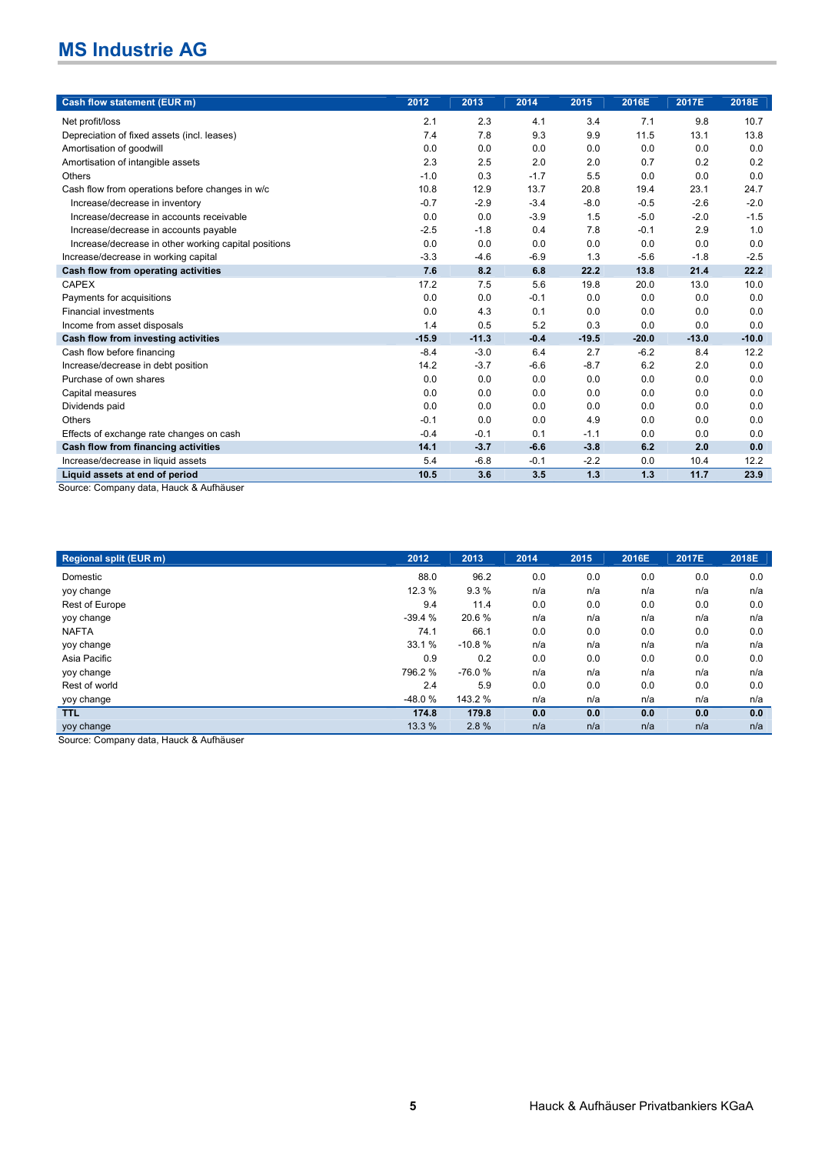| Cash flow statement (EUR m)                                               | 2012    | 2013    | 2014   | 2015    | 2016E   | 2017E   | 2018E   |
|---------------------------------------------------------------------------|---------|---------|--------|---------|---------|---------|---------|
| Net profit/loss                                                           | 2.1     | 2.3     | 4.1    | 3.4     | 7.1     | 9.8     | 10.7    |
| Depreciation of fixed assets (incl. leases)                               | 7.4     | 7.8     | 9.3    | 9.9     | 11.5    | 13.1    | 13.8    |
| Amortisation of goodwill                                                  | 0.0     | 0.0     | 0.0    | 0.0     | 0.0     | 0.0     | 0.0     |
| Amortisation of intangible assets                                         | 2.3     | 2.5     | 2.0    | 2.0     | 0.7     | 0.2     | 0.2     |
| Others                                                                    | $-1.0$  | 0.3     | $-1.7$ | 5.5     | 0.0     | 0.0     | 0.0     |
| Cash flow from operations before changes in w/c                           | 10.8    | 12.9    | 13.7   | 20.8    | 19.4    | 23.1    | 24.7    |
| Increase/decrease in inventory                                            | $-0.7$  | $-2.9$  | $-3.4$ | $-8.0$  | $-0.5$  | $-2.6$  | $-2.0$  |
| Increase/decrease in accounts receivable                                  | 0.0     | 0.0     | $-3.9$ | 1.5     | $-5.0$  | $-2.0$  | $-1.5$  |
| Increase/decrease in accounts payable                                     | $-2.5$  | $-1.8$  | 0.4    | 7.8     | $-0.1$  | 2.9     | 1.0     |
| Increase/decrease in other working capital positions                      | 0.0     | 0.0     | 0.0    | 0.0     | 0.0     | 0.0     | 0.0     |
| Increase/decrease in working capital                                      | $-3.3$  | $-4.6$  | $-6.9$ | 1.3     | $-5.6$  | $-1.8$  | $-2.5$  |
| Cash flow from operating activities                                       | 7.6     | 8.2     | 6.8    | 22.2    | 13.8    | 21.4    | 22.2    |
| <b>CAPEX</b>                                                              | 17.2    | 7.5     | 5.6    | 19.8    | 20.0    | 13.0    | 10.0    |
| Payments for acquisitions                                                 | 0.0     | 0.0     | $-0.1$ | 0.0     | 0.0     | 0.0     | 0.0     |
| <b>Financial investments</b>                                              | 0.0     | 4.3     | 0.1    | 0.0     | 0.0     | 0.0     | 0.0     |
| Income from asset disposals                                               | 1.4     | 0.5     | 5.2    | 0.3     | 0.0     | 0.0     | 0.0     |
| Cash flow from investing activities                                       | $-15.9$ | $-11.3$ | $-0.4$ | $-19.5$ | $-20.0$ | $-13.0$ | $-10.0$ |
| Cash flow before financing                                                | $-8.4$  | $-3.0$  | 6.4    | 2.7     | $-6.2$  | 8.4     | 12.2    |
| Increase/decrease in debt position                                        | 14.2    | $-3.7$  | $-6.6$ | $-8.7$  | 6.2     | 2.0     | 0.0     |
| Purchase of own shares                                                    | 0.0     | 0.0     | 0.0    | 0.0     | 0.0     | 0.0     | 0.0     |
| Capital measures                                                          | 0.0     | 0.0     | 0.0    | 0.0     | 0.0     | 0.0     | 0.0     |
| Dividends paid                                                            | 0.0     | 0.0     | 0.0    | 0.0     | 0.0     | 0.0     | 0.0     |
| <b>Others</b>                                                             | $-0.1$  | 0.0     | 0.0    | 4.9     | 0.0     | 0.0     | 0.0     |
| Effects of exchange rate changes on cash                                  | $-0.4$  | $-0.1$  | 0.1    | $-1.1$  | 0.0     | 0.0     | 0.0     |
| Cash flow from financing activities                                       | 14.1    | $-3.7$  | $-6.6$ | $-3.8$  | 6.2     | 2.0     | 0.0     |
| Increase/decrease in liquid assets                                        | 5.4     | $-6.8$  | $-0.1$ | $-2.2$  | 0.0     | 10.4    | 12.2    |
| Liquid assets at end of period<br>Source: Company data, Hauck & Aufbäuser | 10.5    | 3.6     | 3.5    | 1.3     | 1.3     | 11.7    | 23.9    |

Source: Company data, Hauck & Aufhäuser

| 2012     | 2013     | 2014 | 2015 | 2016E | 2017E | 2018E |
|----------|----------|------|------|-------|-------|-------|
| 88.0     | 96.2     | 0.0  | 0.0  | 0.0   | 0.0   | 0.0   |
| 12.3 %   | 9.3%     | n/a  | n/a  | n/a   | n/a   | n/a   |
| 9.4      | 11.4     | 0.0  | 0.0  | 0.0   | 0.0   | 0.0   |
| $-39.4%$ | 20.6%    | n/a  | n/a  | n/a   | n/a   | n/a   |
| 74.1     | 66.1     | 0.0  | 0.0  | 0.0   | 0.0   | 0.0   |
| 33.1 %   | $-10.8%$ | n/a  | n/a  | n/a   | n/a   | n/a   |
| 0.9      | 0.2      | 0.0  | 0.0  | 0.0   | 0.0   | 0.0   |
| 796.2%   | $-76.0%$ | n/a  | n/a  | n/a   | n/a   | n/a   |
| 2.4      | 5.9      | 0.0  | 0.0  | 0.0   | 0.0   | 0.0   |
| $-48.0%$ | 143.2 %  | n/a  | n/a  | n/a   | n/a   | n/a   |
| 174.8    | 179.8    | 0.0  | 0.0  | 0.0   | 0.0   | 0.0   |
| 13.3 %   | 2.8%     | n/a  | n/a  | n/a   | n/a   | n/a   |
|          |          |      |      |       |       |       |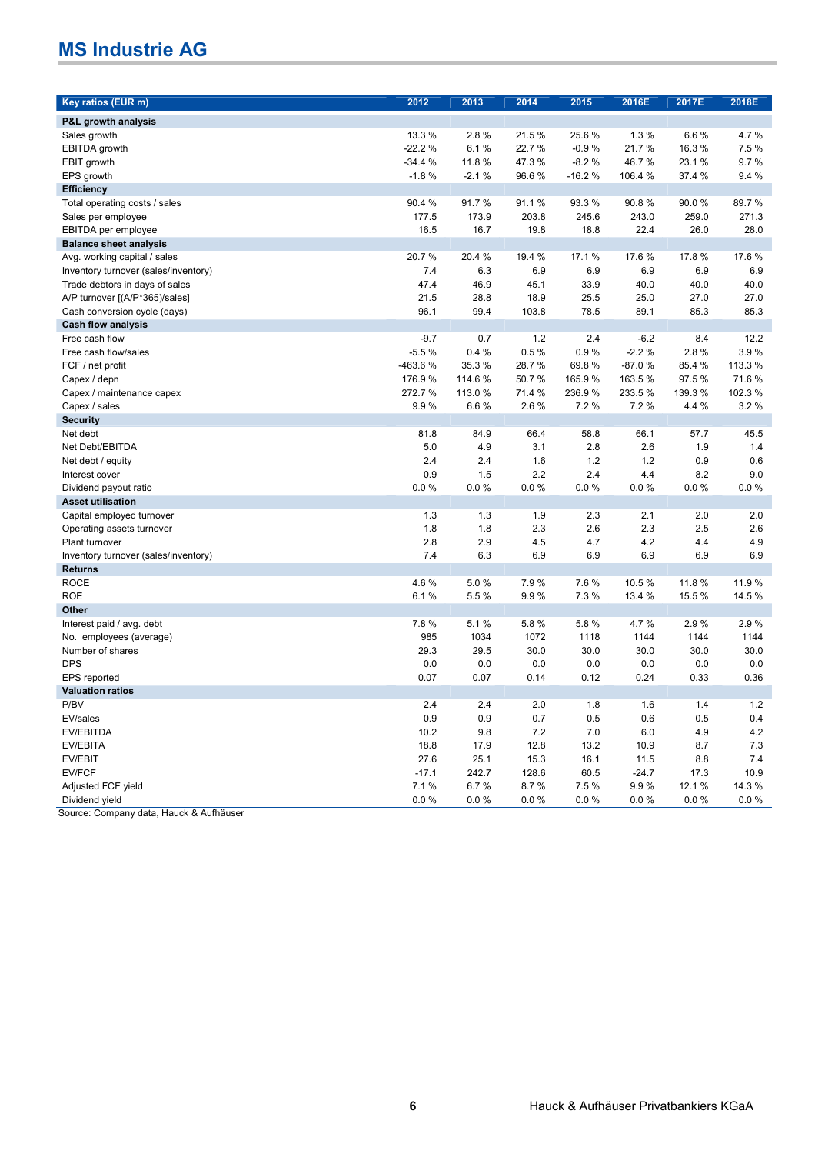| Key ratios (EUR m)                   | 2012     | 2013    | 2014   | 2015     | 2016E    | 2017E    | 2018E    |
|--------------------------------------|----------|---------|--------|----------|----------|----------|----------|
| P&L growth analysis                  |          |         |        |          |          |          |          |
| Sales growth                         | 13.3 %   | 2.8%    | 21.5%  | 25.6%    | 1.3%     | 6.6%     | 4.7%     |
| EBITDA growth                        | $-22.2%$ | 6.1%    | 22.7 % | $-0.9%$  | 21.7%    | 16.3%    | 7.5 %    |
| EBIT growth                          | $-34.4%$ | 11.8%   | 47.3%  | $-8.2%$  | 46.7%    | 23.1%    | 9.7%     |
| EPS growth                           | $-1.8%$  | $-2.1%$ | 96.6%  | $-16.2%$ | 106.4 %  | 37.4 %   | 9.4%     |
| <b>Efficiency</b>                    |          |         |        |          |          |          |          |
| Total operating costs / sales        | 90.4%    | 91.7%   | 91.1%  | 93.3%    | 90.8%    | 90.0%    | 89.7%    |
| Sales per employee                   | 177.5    | 173.9   | 203.8  | 245.6    | 243.0    | 259.0    | 271.3    |
| EBITDA per employee                  | 16.5     | 16.7    | 19.8   | 18.8     | 22.4     | 26.0     | 28.0     |
| <b>Balance sheet analysis</b>        |          |         |        |          |          |          |          |
| Avg. working capital / sales         | 20.7%    | 20.4 %  | 19.4 % | 17.1%    | 17.6%    | 17.8%    | 17.6%    |
| Inventory turnover (sales/inventory) | 7.4      | 6.3     | 6.9    | 6.9      | 6.9      | 6.9      | 6.9      |
| Trade debtors in days of sales       | 47.4     | 46.9    | 45.1   | 33.9     | 40.0     | 40.0     | 40.0     |
| A/P turnover [(A/P*365)/sales]       | 21.5     | 28.8    | 18.9   | 25.5     | 25.0     | 27.0     | 27.0     |
| Cash conversion cycle (days)         | 96.1     | 99.4    | 103.8  | 78.5     | 89.1     | 85.3     | 85.3     |
| <b>Cash flow analysis</b>            |          |         |        |          |          |          |          |
| Free cash flow                       | $-9.7$   | 0.7     | 1.2    | 2.4      | $-6.2$   | 8.4      | 12.2     |
| Free cash flow/sales                 | $-5.5%$  | 0.4%    | 0.5%   | 0.9%     | $-2.2%$  | 2.8%     | 3.9%     |
| FCF / net profit                     | -463.6%  | 35.3%   | 28.7%  | 69.8%    | $-87.0%$ | 85.4 %   | 113.3 %  |
| Capex / depn                         | 176.9%   | 114.6 % | 50.7%  | 165.9%   | 163.5%   | 97.5%    | 71.6%    |
| Capex / maintenance capex            | 272.7%   | 113.0 % | 71.4 % | 236.9%   | 233.5%   | 139.3 %  | 102.3%   |
| Capex / sales                        | 9.9%     | 6.6%    | 2.6%   | 7.2%     | 7.2%     | 4.4 %    | 3.2%     |
| <b>Security</b>                      |          |         |        |          |          |          |          |
| Net debt                             | 81.8     | 84.9    | 66.4   | 58.8     | 66.1     | 57.7     | 45.5     |
| Net Debt/EBITDA                      | 5.0      | 4.9     | 3.1    | 2.8      | 2.6      | 1.9      | 1.4      |
| Net debt / equity                    | 2.4      | 2.4     | 1.6    | $1.2$    | 1.2      | 0.9      | 0.6      |
| Interest cover                       | 0.9      | 1.5     | 2.2    | 2.4      | 4.4      | 8.2      | 9.0      |
| Dividend payout ratio                | 0.0 %    | 0.0%    | 0.0%   | 0.0%     | 0.0%     | $0.0 \%$ | $0.0 \%$ |
| <b>Asset utilisation</b>             |          |         |        |          |          |          |          |
| Capital employed turnover            | 1.3      | 1.3     | 1.9    | 2.3      | 2.1      | 2.0      | 2.0      |
| Operating assets turnover            | 1.8      | 1.8     | 2.3    | 2.6      | 2.3      | 2.5      | 2.6      |
| Plant turnover                       | 2.8      | 2.9     | 4.5    | 4.7      | 4.2      | 4.4      | 4.9      |
| Inventory turnover (sales/inventory) | 7.4      | 6.3     | 6.9    | 6.9      | 6.9      | 6.9      | 6.9      |
| <b>Returns</b>                       |          |         |        |          |          |          |          |
| <b>ROCE</b>                          | 4.6%     | 5.0%    | 7.9%   | 7.6%     | 10.5 %   | 11.8 %   | 11.9 %   |
| <b>ROE</b>                           | 6.1%     | 5.5%    | 9.9%   | 7.3%     | 13.4 %   | 15.5 %   | 14.5 %   |
| Other                                |          |         |        |          |          |          |          |
| Interest paid / avg. debt            | 7.8%     | 5.1%    | 5.8%   | 5.8%     | 4.7%     | 2.9%     | 2.9%     |
| No. employees (average)              | 985      | 1034    | 1072   | 1118     | 1144     | 1144     | 1144     |
| Number of shares                     | 29.3     | 29.5    | 30.0   | 30.0     | 30.0     | 30.0     | 30.0     |
| <b>DPS</b>                           | 0.0      | 0.0     | 0.0    | 0.0      | 0.0      | 0.0      | 0.0      |
| EPS reported                         | 0.07     | 0.07    | 0.14   | 0.12     | 0.24     | 0.33     | 0.36     |
| <b>Valuation ratios</b>              |          |         |        |          |          |          |          |
| P/BV                                 | 2.4      | 2.4     | 2.0    | 1.8      | 1.6      | 1.4      | 1.2      |
| EV/sales                             | 0.9      | 0.9     | 0.7    | 0.5      | 0.6      | 0.5      | 0.4      |
| <b>EV/EBITDA</b>                     | 10.2     | 9.8     | 7.2    | 7.0      | 6.0      | 4.9      | 4.2      |
| EV/EBITA                             | 18.8     | 17.9    | 12.8   | 13.2     | 10.9     | 8.7      | 7.3      |
| EV/EBIT                              | 27.6     | 25.1    | 15.3   | 16.1     | 11.5     | 8.8      | 7.4      |
| EV/FCF                               | $-17.1$  | 242.7   | 128.6  | 60.5     | $-24.7$  | 17.3     | 10.9     |
| Adjusted FCF yield                   | 7.1%     | 6.7%    | 8.7%   | 7.5 %    | 9.9%     | 12.1%    | 14.3 %   |
| Dividend yield                       | 0.0%     | 0.0%    | 0.0%   | 0.0%     | 0.0%     | 0.0%     | 0.0%     |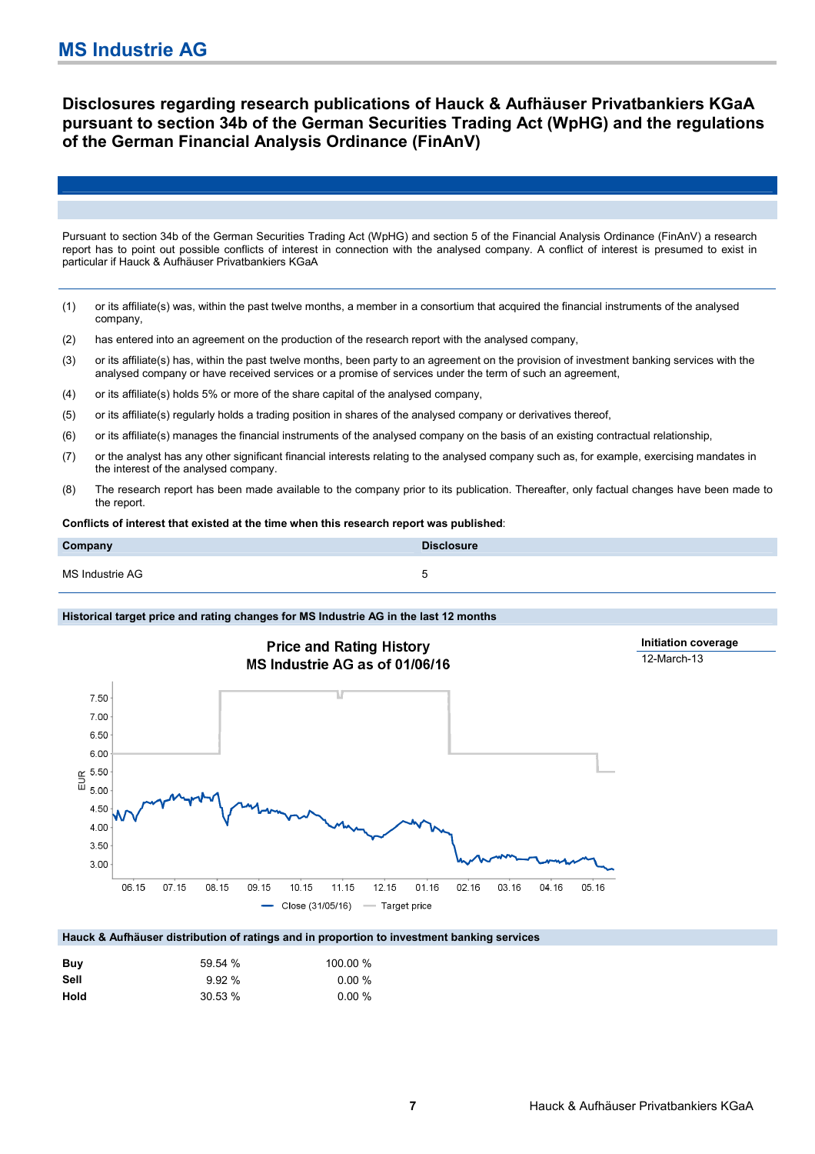## **Disclosures regarding research publications of Hauck & Aufhäuser Privatbankiers KGaA pursuant to section 34b of the German Securities Trading Act (WpHG) and the regulations of the German Financial Analysis Ordinance (FinAnV)**

Pursuant to section 34b of the German Securities Trading Act (WpHG) and section 5 of the Financial Analysis Ordinance (FinAnV) a research report has to point out possible conflicts of interest in connection with the analysed company. A conflict of interest is presumed to exist in particular if Hauck & Aufhäuser Privatbankiers KGaA

- (1) or its affiliate(s) was, within the past twelve months, a member in a consortium that acquired the financial instruments of the analysed company,
- (2) has entered into an agreement on the production of the research report with the analysed company,
- (3) or its affiliate(s) has, within the past twelve months, been party to an agreement on the provision of investment banking services with the analysed company or have received services or a promise of services under the term of such an agreement,
- (4) or its affiliate(s) holds 5% or more of the share capital of the analysed company,
- (5) or its affiliate(s) regularly holds a trading position in shares of the analysed company or derivatives thereof,
- (6) or its affiliate(s) manages the financial instruments of the analysed company on the basis of an existing contractual relationship,
- (7) or the analyst has any other significant financial interests relating to the analysed company such as, for example, exercising mandates in the interest of the analysed company.
- (8) The research report has been made available to the company prior to its publication. Thereafter, only factual changes have been made to the report.

#### **Conflicts of interest that existed at the time when this research report was published**:

| Company         | <b>Disclosure</b> |
|-----------------|-------------------|
| MS Industrie AG |                   |

#### **Historical target price and rating changes for MS Industrie AG in the last 12 months**



| Buv  | 59.54 % | 100.00 %  |
|------|---------|-----------|
| Sell | 9.92%   | $0.00\%$  |
| Hold | 30.53 % | $0.00 \%$ |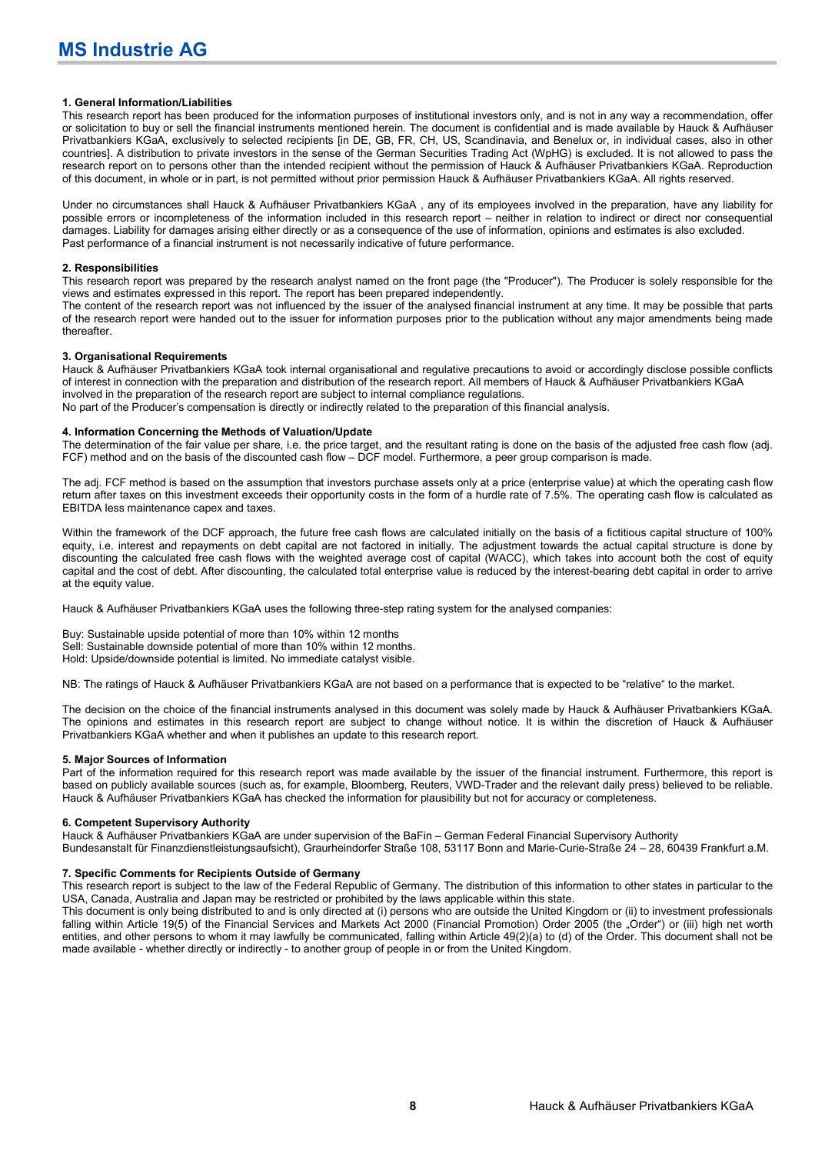#### **1. General Information/Liabilities**

This research report has been produced for the information purposes of institutional investors only, and is not in any way a recommendation, offer or solicitation to buy or sell the financial instruments mentioned herein. The document is confidential and is made available by Hauck & Aufhäuser Privatbankiers KGaA, exclusively to selected recipients [in DE, GB, FR, CH, US, Scandinavia, and Benelux or, in individual cases, also in other countries]. A distribution to private investors in the sense of the German Securities Trading Act (WpHG) is excluded. It is not allowed to pass the research report on to persons other than the intended recipient without the permission of Hauck & Aufhäuser Privatbankiers KGaA. Reproduction of this document, in whole or in part, is not permitted without prior permission Hauck & Aufhäuser Privatbankiers KGaA. All rights reserved.

Under no circumstances shall Hauck & Aufhäuser Privatbankiers KGaA , any of its employees involved in the preparation, have any liability for possible errors or incompleteness of the information included in this research report – neither in relation to indirect or direct nor consequential damages. Liability for damages arising either directly or as a consequence of the use of information, opinions and estimates is also excluded. Past performance of a financial instrument is not necessarily indicative of future performance.

#### **2. Responsibilities**

This research report was prepared by the research analyst named on the front page (the "Producer"). The Producer is solely responsible for the views and estimates expressed in this report. The report has been prepared independently.

The content of the research report was not influenced by the issuer of the analysed financial instrument at any time. It may be possible that parts of the research report were handed out to the issuer for information purposes prior to the publication without any major amendments being made thereafter.

#### **3. Organisational Requirements**

Hauck & Aufhäuser Privatbankiers KGaA took internal organisational and regulative precautions to avoid or accordingly disclose possible conflicts of interest in connection with the preparation and distribution of the research report. All members of Hauck & Aufhäuser Privatbankiers KGaA involved in the preparation of the research report are subject to internal compliance regulations.

No part of the Producer's compensation is directly or indirectly related to the preparation of this financial analysis.

#### **4. Information Concerning the Methods of Valuation/Update**

The determination of the fair value per share, i.e. the price target, and the resultant rating is done on the basis of the adjusted free cash flow (adj. FCF) method and on the basis of the discounted cash flow – DCF model. Furthermore, a peer group comparison is made.

The adj. FCF method is based on the assumption that investors purchase assets only at a price (enterprise value) at which the operating cash flow return after taxes on this investment exceeds their opportunity costs in the form of a hurdle rate of 7.5%. The operating cash flow is calculated as EBITDA less maintenance capex and taxes.

Within the framework of the DCF approach, the future free cash flows are calculated initially on the basis of a fictitious capital structure of 100% equity, i.e. interest and repayments on debt capital are not factored in initially. The adjustment towards the actual capital structure is done by discounting the calculated free cash flows with the weighted average cost of capital (WACC), which takes into account both the cost of equity capital and the cost of debt. After discounting, the calculated total enterprise value is reduced by the interest-bearing debt capital in order to arrive at the equity value.

Hauck & Aufhäuser Privatbankiers KGaA uses the following three-step rating system for the analysed companies:

Buy: Sustainable upside potential of more than 10% within 12 months Sell: Sustainable downside potential of more than 10% within 12 months. Hold: Upside/downside potential is limited. No immediate catalyst visible.

NB: The ratings of Hauck & Aufhäuser Privatbankiers KGaA are not based on a performance that is expected to be "relative" to the market.

The decision on the choice of the financial instruments analysed in this document was solely made by Hauck & Aufhäuser Privatbankiers KGaA. The opinions and estimates in this research report are subject to change without notice. It is within the discretion of Hauck & Aufhäuser Privatbankiers KGaA whether and when it publishes an update to this research report.

#### **5. Major Sources of Information**

Part of the information required for this research report was made available by the issuer of the financial instrument. Furthermore, this report is based on publicly available sources (such as, for example, Bloomberg, Reuters, VWD-Trader and the relevant daily press) believed to be reliable. Hauck & Aufhäuser Privatbankiers KGaA has checked the information for plausibility but not for accuracy or completeness.

#### **6. Competent Supervisory Authority**

Hauck & Aufhäuser Privatbankiers KGaA are under supervision of the BaFin – German Federal Financial Supervisory Authority Bundesanstalt für Finanzdienstleistungsaufsicht), Graurheindorfer Straße 108, 53117 Bonn and Marie-Curie-Straße 24 – 28, 60439 Frankfurt a.M.

#### **7. Specific Comments for Recipients Outside of Germany**

This research report is subject to the law of the Federal Republic of Germany. The distribution of this information to other states in particular to the USA, Canada, Australia and Japan may be restricted or prohibited by the laws applicable within this state.

This document is only being distributed to and is only directed at (i) persons who are outside the United Kingdom or (ii) to investment professionals falling within Article 19(5) of the Financial Services and Markets Act 2000 (Financial Promotion) Order 2005 (the "Order") or (iii) high net worth entities, and other persons to whom it may lawfully be communicated, falling within Article 49(2)(a) to (d) of the Order. This document shall not be made available - whether directly or indirectly - to another group of people in or from the United Kingdom.